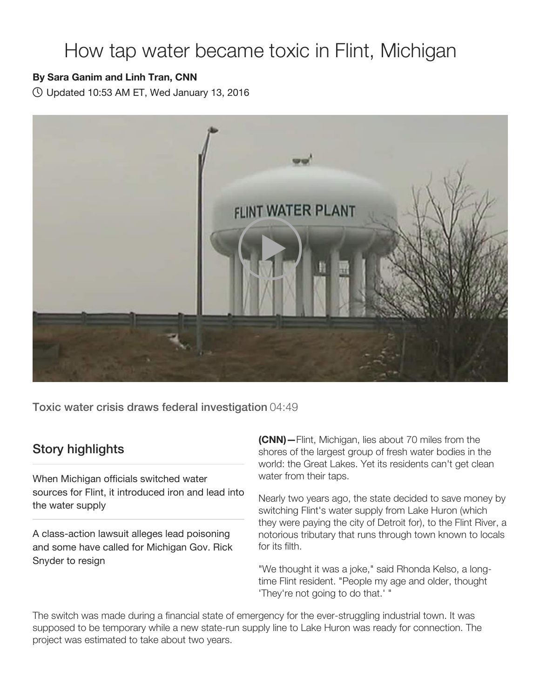#### How tap water became toxic in Flint, Michigan

#### By Sara Ganim and Linh Tran, CNN

Updated 10:53 AM ET, Wed January 13, 2016



Toxic water crisis draws federal investigation 04:49

#### Story highlights

When Michigan officials switched water sources for Flint, it introduced iron and lead into the water supply

A class-action lawsuit alleges lead poisoning and some have called for Michigan Gov. Rick Snyder to resign

(CNN)—Flint, Michigan, lies about 70 miles from the shores of the largest group of fresh water bodies in the world: the Great Lakes. Yet its residents can't get clean water from their taps.

Nearly two years ago, the state decided to save money by switching Flint's water supply from Lake Huron (which they were paying the city of Detroit for), to the Flint River, a notorious tributary that runs through town known to locals for its filth.

"We thought it was a joke," said Rhonda Kelso, a longtime Flint resident. "People my age and older, thought 'They're not going to do that.' "

The switch was made during a financial state of emergency for the ever-struggling industrial town. It was supposed to be temporary while a new state-run supply line to Lake Huron was ready for connection. The project was estimated to take about two years.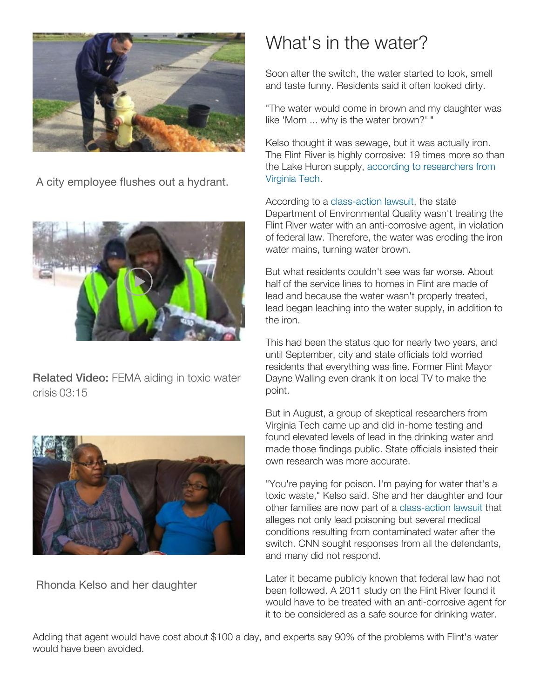

A city employee flushes out a hydrant.



Related Video: FEMA aiding in toxic water crisis 03:15



Rhonda Kelso and her daughter

# What's in the water?

Soon after the switch, the water started to look, smell and taste funny. Residents said it often looked dirty.

"The water would come in brown and my daughter was like 'Mom ... why is the water brown?' "

Kelso thought it was sewage, but it was actually iron. The Flint River is highly corrosive: 19 times more so than the Lake Huron supply, according to [researchers](http://flintwaterstudy.org/about-page/about-us/) from Virginia Tech.

According to a [class-action](http://i2.cdn.turner.com/cnn/2016/images/01/10/may.et.al.v.snyder.et.al.-.pacer.1.complaint.for.injunctive.and.declaratory.relief.pdf) lawsuit, the state Department of Environmental Quality wasn't treating the Flint River water with an anti-corrosive agent, in violation of federal law. Therefore, the water was eroding the iron water mains, turning water brown.

But what residents couldn't see was far worse. About half of the service lines to homes in Flint are made of lead and because the water wasn't properly treated, lead began leaching into the water supply, in addition to the iron.

This had been the status quo for nearly two years, and until September, city and state officials told worried residents that everything was fine. Former Flint Mayor Dayne Walling even drank it on local TV to make the point.

But in August, a group of skeptical researchers from Virginia Tech came up and did in-home testing and found elevated levels of lead in the drinking water and made those findings public. State officials insisted their own research was more accurate.

"You're paying for poison. I'm paying for water that's a toxic waste," Kelso said. She and her daughter and four other families are now part of a [class-action](http://i2.cdn.turner.com/cnn/2016/images/01/10/may.et.al.v.snyder.et.al.-.pacer.1.complaint.for.injunctive.and.declaratory.relief.pdf) lawsuit that alleges not only lead poisoning but several medical conditions resulting from contaminated water after the switch. CNN sought responses from all the defendants, and many did not respond.

Later it became publicly known that federal law had not been followed. A 2011 study on the Flint River found it would have to be treated with an anti-corrosive agent for it to be considered as a safe source for drinking water.

Adding that agent would have cost about \$100 a day, and experts say 90% of the problems with Flint's water would have been avoided.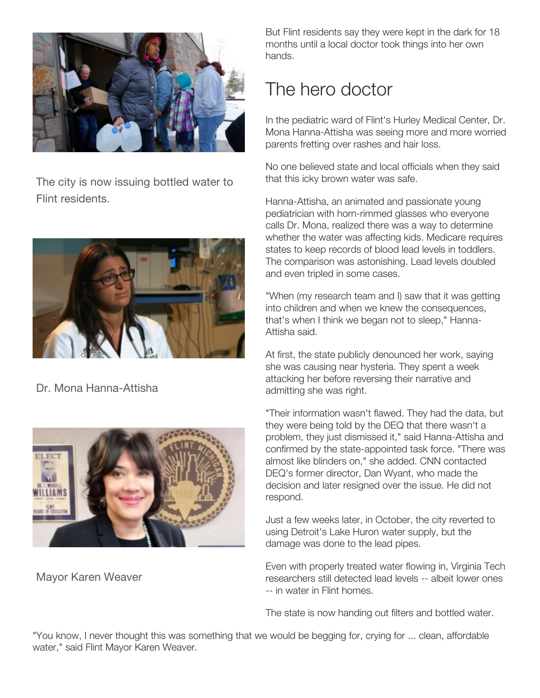

The city is now issuing bottled water to Flint residents.



Dr. Mona Hanna-Attisha



Mayor Karen Weaver

But Flint residents say they were kept in the dark for 18 months until a local doctor took things into her own hands.

# The hero doctor

In the pediatric ward of Flint's Hurley Medical Center, Dr. Mona Hanna-Attisha was seeing more and more worried parents fretting over rashes and hair loss.

No one believed state and local officials when they said that this icky brown water was safe.

Hanna-Attisha, an animated and passionate young pediatrician with horn-rimmed glasses who everyone calls Dr. Mona, realized there was a way to determine whether the water was affecting kids. Medicare requires states to keep records of blood lead levels in toddlers. The comparison was astonishing. Lead levels doubled and even tripled in some cases.

"When (my research team and I) saw that it was getting into children and when we knew the consequences, that's when I think we began not to sleep," Hanna-Attisha said.

At first, the state publicly denounced her work, saying she was causing near hysteria. They spent a week attacking her before reversing their narrative and admitting she was right.

"Their information wasn't flawed. They had the data, but they were being told by the DEQ that there wasn't a problem, they just dismissed it," said Hanna-Attisha and confirmed by the state-appointed task force. "There was almost like blinders on," she added. CNN contacted DEQ's former director, Dan Wyant, who made the decision and later resigned over the issue. He did not respond.

Just a few weeks later, in October, the city reverted to using Detroit's Lake Huron water supply, but the damage was done to the lead pipes.

Even with properly treated water flowing in, Virginia Tech researchers still detected lead levels -- albeit lower ones -- in water in Flint homes.

The state is now handing out filters and bottled water.

"You know, I never thought this was something that we would be begging for, crying for ... clean, affordable water," said Flint Mayor Karen Weaver.